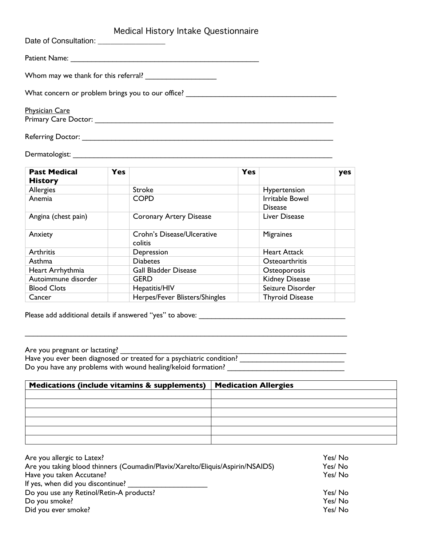## Medical History Intake Questionnaire

| Date of Consultation: ___________________                                                                                              |
|----------------------------------------------------------------------------------------------------------------------------------------|
|                                                                                                                                        |
| Whom may we thank for this referral?                                                                                                   |
| What concern or problem brings you to our office? ______________________________                                                       |
| <b>Physician Care</b><br>Primary Care Doctor: New York Care Contract of the Care Contract of the Care Contract of the Care Contract of |
|                                                                                                                                        |

## Dermatologist: \_\_\_\_\_\_\_\_\_\_\_\_\_\_\_\_\_\_\_\_\_\_\_\_\_\_\_\_\_\_\_\_\_\_\_\_\_\_\_\_\_\_\_\_\_\_\_\_\_\_\_\_\_\_\_\_\_\_\_\_\_\_

| <b>Yes</b><br><b>Past Medical</b><br><b>History</b> |  | Yes                                   |  |                                          | yes |
|-----------------------------------------------------|--|---------------------------------------|--|------------------------------------------|-----|
| Allergies                                           |  | Stroke                                |  | Hypertension                             |     |
| Anemia                                              |  | <b>COPD</b>                           |  | <b>Irritable Bowel</b><br><b>Disease</b> |     |
| Angina (chest pain)                                 |  | <b>Coronary Artery Disease</b>        |  | Liver Disease                            |     |
| Anxiety                                             |  | Crohn's Disease/Ulcerative<br>colitis |  | <b>Migraines</b>                         |     |
| Arthritis                                           |  | Depression                            |  | <b>Heart Attack</b>                      |     |
| Asthma                                              |  | <b>Diabetes</b>                       |  | Osteoarthritis                           |     |
| Heart Arrhythmia                                    |  | <b>Gall Bladder Disease</b>           |  | Osteoporosis                             |     |
| Autoimmune disorder                                 |  | <b>GERD</b>                           |  | Kidney Disease                           |     |
| <b>Blood Clots</b>                                  |  | Hepatitis/HIV                         |  | Seizure Disorder                         |     |
| Cancer                                              |  | Herpes/Fever Blisters/Shingles        |  | <b>Thyroid Disease</b>                   |     |

Please add additional details if answered "yes" to above: \_\_\_\_\_\_\_\_\_\_\_\_\_\_\_\_\_\_\_\_\_\_\_\_\_\_\_\_\_\_\_\_\_\_\_

Are you pregnant or lactating? \_\_\_\_\_\_\_\_\_\_\_\_\_\_\_\_\_\_\_\_\_\_\_\_\_\_\_\_\_\_\_\_\_\_\_\_\_\_\_\_\_\_\_\_\_\_\_\_\_\_\_\_\_\_

Have you ever been diagnosed or treated for a psychiatric condition? \_\_\_\_\_\_\_\_\_\_\_\_\_\_\_\_\_\_\_\_\_\_\_\_\_ Do you have any problems with wound healing/keloid formation? \_\_\_\_\_\_\_\_\_\_\_\_\_\_\_\_\_\_

 $\mathcal{L}_\text{max}$  , and the contribution of the contribution of the contribution of the contribution of the contribution of the contribution of the contribution of the contribution of the contribution of the contribution of t

| Medications (include vitamins & supplements) $ $ | <b>Medication Allergies</b> |
|--------------------------------------------------|-----------------------------|
|                                                  |                             |
|                                                  |                             |
|                                                  |                             |
|                                                  |                             |
|                                                  |                             |
|                                                  |                             |

| Yes/No |
|--------|
| Yes/No |
| Yes/No |
|        |
| Yes/No |
| Yes/No |
| Yes/No |
|        |